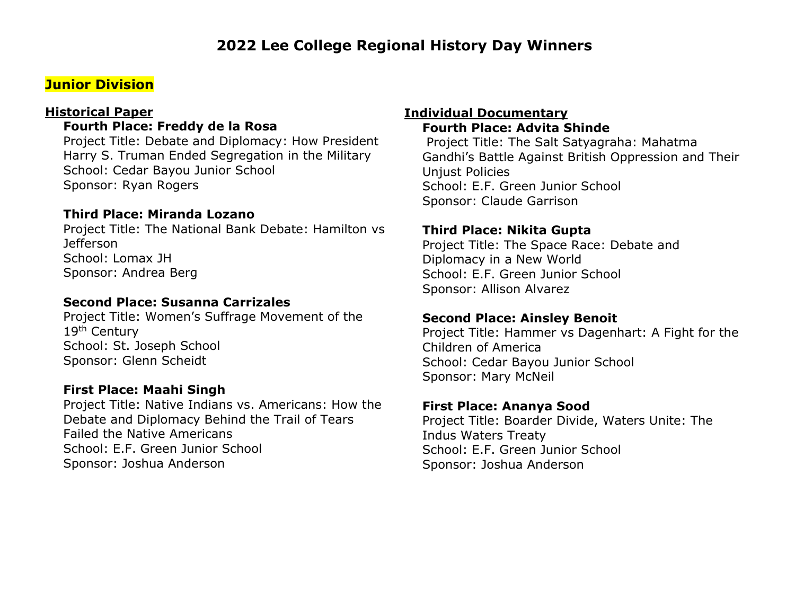# **Junior Division**

#### **Historical Paper**

## **Fourth Place: Freddy de la Rosa**

Project Title: Debate and Diplomacy: How President Harry S. Truman Ended Segregation in the Military School: Cedar Bayou Junior School Sponsor: Ryan Rogers

#### **Third Place: Miranda Lozano**

Project Title: The National Bank Debate: Hamilton vs Jefferson School: Lomax JH Sponsor: Andrea Berg

## **Second Place: Susanna Carrizales**

Project Title: Women's Suffrage Movement of the 19<sup>th</sup> Century School: St. Joseph School Sponsor: Glenn Scheidt

#### **First Place: Maahi Singh**

Project Title: Native Indians vs. Americans: How the Debate and Diplomacy Behind the Trail of Tears Failed the Native Americans School: E.F. Green Junior School Sponsor: Joshua Anderson

#### **Individual Documentary Fourth Place: Advita Shinde**

Project Title: The Salt Satyagraha: Mahatma Gandhi's Battle Against British Oppression and Their Unjust Policies School: E.F. Green Junior School Sponsor: Claude Garrison

#### **Third Place: Nikita Gupta**

Project Title: The Space Race: Debate and Diplomacy in a New World School: E.F. Green Junior School Sponsor: Allison Alvarez

#### **Second Place: Ainsley Benoit**

Project Title: Hammer vs Dagenhart: A Fight for the Children of America School: Cedar Bayou Junior School Sponsor: Mary McNeil

#### **First Place: Ananya Sood**

Project Title: Boarder Divide, Waters Unite: The Indus Waters Treaty School: E.F. Green Junior School Sponsor: Joshua Anderson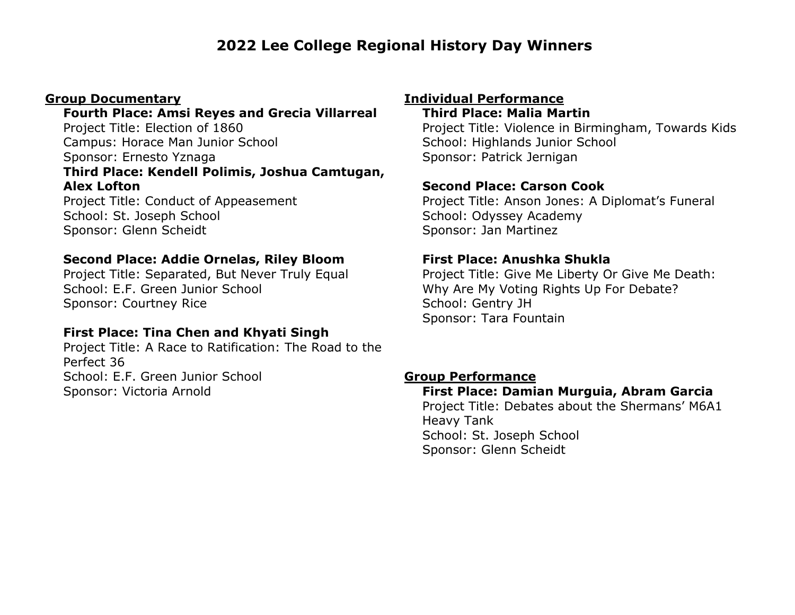#### **Group Documentary**

# **Fourth Place: Amsi Reyes and Grecia Villarreal**

Project Title: Election of 1860 Campus: Horace Man Junior School Sponsor: Ernesto Yznaga **Third Place: Kendell Polimis, Joshua Camtugan, Alex Lofton**

Project Title: Conduct of Appeasement School: St. Joseph School Sponsor: Glenn Scheidt

## **Second Place: Addie Ornelas, Riley Bloom**

Project Title: Separated, But Never Truly Equal School: E.F. Green Junior School Sponsor: Courtney Rice

# **First Place: Tina Chen and Khyati Singh**

Project Title: A Race to Ratification: The Road to the Perfect 36 School: E.F. Green Junior School Sponsor: Victoria Arnold

# **Individual Performance**

## **Third Place: Malia Martin**

Project Title: Violence in Birmingham, Towards Kids School: Highlands Junior School Sponsor: Patrick Jernigan

## **Second Place: Carson Cook**

Project Title: Anson Jones: A Diplomat's Funeral School: Odyssey Academy Sponsor: Jan Martinez

## **First Place: Anushka Shukla**

Project Title: Give Me Liberty Or Give Me Death: Why Are My Voting Rights Up For Debate? School: Gentry JH Sponsor: Tara Fountain

## **Group Performance**

## **First Place: Damian Murguia, Abram Garcia**

Project Title: Debates about the Shermans' M6A1 Heavy Tank School: St. Joseph School Sponsor: Glenn Scheidt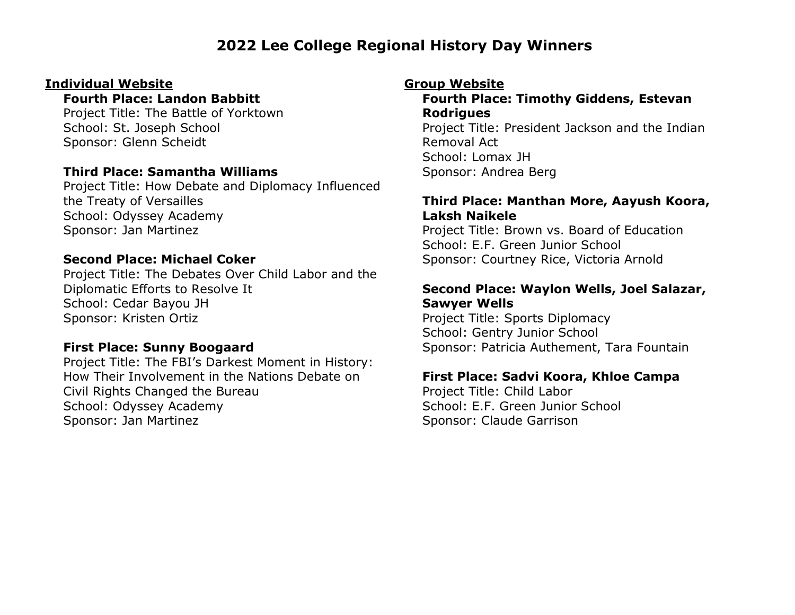#### **Individual Website**

## **Fourth Place: Landon Babbitt**

Project Title: The Battle of Yorktown School: St. Joseph School Sponsor: Glenn Scheidt

## **Third Place: Samantha Williams**

Project Title: How Debate and Diplomacy Influenced the Treaty of Versailles School: Odyssey Academy Sponsor: Jan Martinez

#### **Second Place: Michael Coker**

Project Title: The Debates Over Child Labor and the Diplomatic Efforts to Resolve It School: Cedar Bayou JH Sponsor: Kristen Ortiz

## **First Place: Sunny Boogaard**

Project Title: The FBI's Darkest Moment in History: How Their Involvement in the Nations Debate on Civil Rights Changed the Bureau School: Odyssey Academy Sponsor: Jan Martinez

## **Group Website**

**Fourth Place: Timothy Giddens, Estevan Rodrigues** Project Title: President Jackson and the Indian Removal Act School: Lomax JH Sponsor: Andrea Berg

## **Third Place: Manthan More, Aayush Koora, Laksh Naikele**

Project Title: Brown vs. Board of Education School: E.F. Green Junior School Sponsor: Courtney Rice, Victoria Arnold

## **Second Place: Waylon Wells, Joel Salazar, Sawyer Wells**

Project Title: Sports Diplomacy School: Gentry Junior School Sponsor: Patricia Authement, Tara Fountain

## **First Place: Sadvi Koora, Khloe Campa**

Project Title: Child Labor School: E.F. Green Junior School Sponsor: Claude Garrison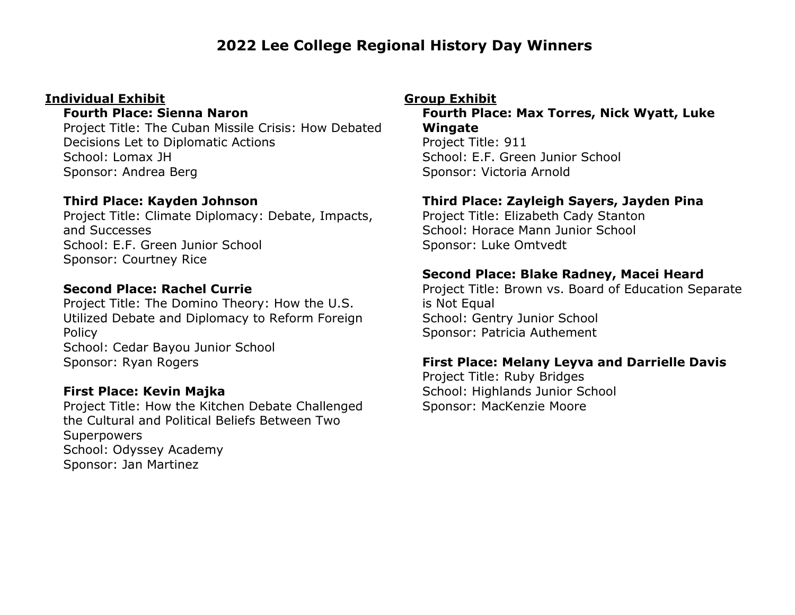### **Individual Exhibit**

#### **Fourth Place: Sienna Naron**

Project Title: The Cuban Missile Crisis: How Debated Decisions Let to Diplomatic Actions School: Lomax JH Sponsor: Andrea Berg

## **Third Place: Kayden Johnson**

Project Title: Climate Diplomacy: Debate, Impacts, and Successes School: E.F. Green Junior School Sponsor: Courtney Rice

## **Second Place: Rachel Currie**

Project Title: The Domino Theory: How the U.S. Utilized Debate and Diplomacy to Reform Foreign Policy School: Cedar Bayou Junior School Sponsor: Ryan Rogers

## **First Place: Kevin Majka**

Project Title: How the Kitchen Debate Challenged the Cultural and Political Beliefs Between Two **Superpowers** School: Odyssey Academy Sponsor: Jan Martinez

### **Group Exhibit**

**Fourth Place: Max Torres, Nick Wyatt, Luke Wingate**

Project Title: 911 School: E.F. Green Junior School Sponsor: Victoria Arnold

# **Third Place: Zayleigh Sayers, Jayden Pina**

Project Title: Elizabeth Cady Stanton School: Horace Mann Junior School Sponsor: Luke Omtvedt

## **Second Place: Blake Radney, Macei Heard**

Project Title: Brown vs. Board of Education Separate is Not Equal School: Gentry Junior School Sponsor: Patricia Authement

## **First Place: Melany Leyva and Darrielle Davis**

Project Title: Ruby Bridges School: Highlands Junior School Sponsor: MacKenzie Moore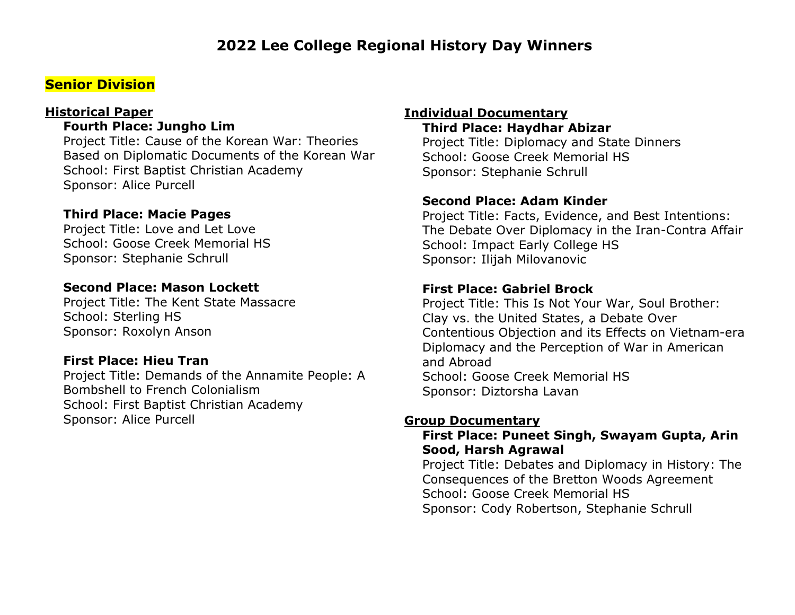# **Senior Division**

#### **Historical Paper**

**Fourth Place: Jungho Lim**

Project Title: Cause of the Korean War: Theories Based on Diplomatic Documents of the Korean War School: First Baptist Christian Academy Sponsor: Alice Purcell

## **Third Place: Macie Pages**

Project Title: Love and Let Love School: Goose Creek Memorial HS Sponsor: Stephanie Schrull

## **Second Place: Mason Lockett**

Project Title: The Kent State Massacre School: Sterling HS Sponsor: Roxolyn Anson

#### **First Place: Hieu Tran**

Project Title: Demands of the Annamite People: A Bombshell to French Colonialism School: First Baptist Christian Academy Sponsor: Alice Purcell

## **Individual Documentary**

**Third Place: Haydhar Abizar** Project Title: Diplomacy and State Dinners School: Goose Creek Memorial HS Sponsor: Stephanie Schrull

## **Second Place: Adam Kinder**

Project Title: Facts, Evidence, and Best Intentions: The Debate Over Diplomacy in the Iran-Contra Affair School: Impact Early College HS Sponsor: Ilijah Milovanovic

#### **First Place: Gabriel Brock**

Project Title: This Is Not Your War, Soul Brother: Clay vs. the United States, a Debate Over Contentious Objection and its Effects on Vietnam-era Diplomacy and the Perception of War in American and Abroad School: Goose Creek Memorial HS Sponsor: Diztorsha Lavan

#### **Group Documentary**

#### **First Place: Puneet Singh, Swayam Gupta, Arin Sood, Harsh Agrawal**

Project Title: Debates and Diplomacy in History: The Consequences of the Bretton Woods Agreement School: Goose Creek Memorial HS Sponsor: Cody Robertson, Stephanie Schrull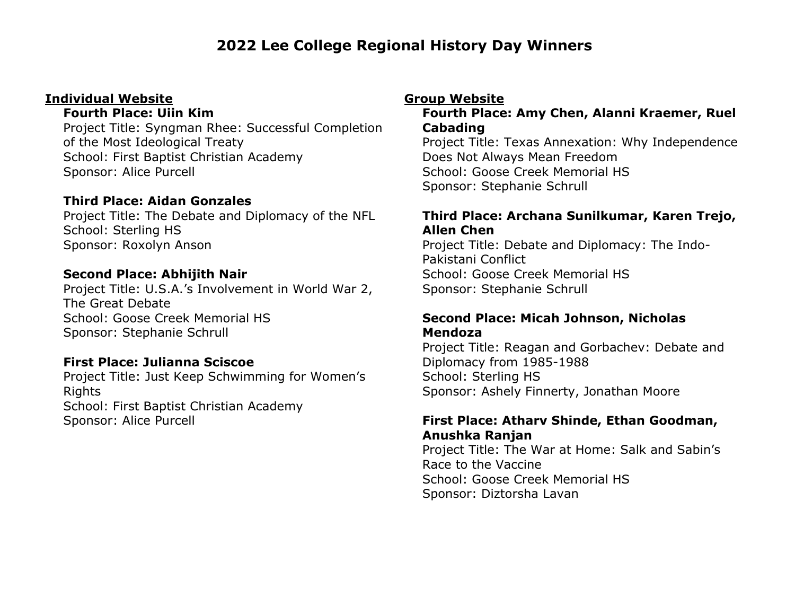## **Individual Website**

#### **Fourth Place: Uiin Kim**

Project Title: Syngman Rhee: Successful Completion of the Most Ideological Treaty School: First Baptist Christian Academy Sponsor: Alice Purcell

## **Third Place: Aidan Gonzales**

Project Title: The Debate and Diplomacy of the NFL School: Sterling HS Sponsor: Roxolyn Anson

## **Second Place: Abhijith Nair**

Project Title: U.S.A.'s Involvement in World War 2, The Great Debate School: Goose Creek Memorial HS Sponsor: Stephanie Schrull

# **First Place: Julianna Sciscoe**

Project Title: Just Keep Schwimming for Women's Rights School: First Baptist Christian Academy Sponsor: Alice Purcell

## **Group Website**

## **Fourth Place: Amy Chen, Alanni Kraemer, Ruel Cabading**

Project Title: Texas Annexation: Why Independence Does Not Always Mean Freedom School: Goose Creek Memorial HS Sponsor: Stephanie Schrull

## **Third Place: Archana Sunilkumar, Karen Trejo, Allen Chen**

Project Title: Debate and Diplomacy: The Indo-Pakistani Conflict School: Goose Creek Memorial HS Sponsor: Stephanie Schrull

## **Second Place: Micah Johnson, Nicholas Mendoza**

Project Title: Reagan and Gorbachev: Debate and Diplomacy from 1985-1988 School: Sterling HS Sponsor: Ashely Finnerty, Jonathan Moore

# **First Place: Atharv Shinde, Ethan Goodman, Anushka Ranjan**

Project Title: The War at Home: Salk and Sabin's Race to the Vaccine School: Goose Creek Memorial HS Sponsor: Diztorsha Lavan